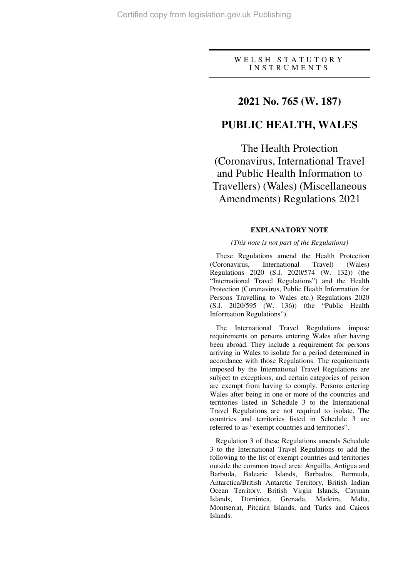### W E L S H S T A T U T O R Y I N S T R U M E N T S

## **2021 No. 765 (W. 187)**

# **PUBLIC HEALTH, WALES**

The Health Protection (Coronavirus, International Travel and Public Health Information to Travellers) (Wales) (Miscellaneous Amendments) Regulations 2021

### **EXPLANATORY NOTE**

#### *(This note is not part of the Regulations)*

These Regulations amend the Health Protection (Coronavirus, International Travel) (Wales) Regulations 2020 (S.I. 2020/574 (W. 132)) (the "International Travel Regulations") and the Health Protection (Coronavirus, Public Health Information for Persons Travelling to Wales etc.) Regulations 2020 (S.I. 2020/595 (W. 136)) (the "Public Health Information Regulations").

The International Travel Regulations impose requirements on persons entering Wales after having been abroad. They include a requirement for persons arriving in Wales to isolate for a period determined in accordance with those Regulations. The requirements imposed by the International Travel Regulations are subject to exceptions, and certain categories of person are exempt from having to comply. Persons entering Wales after being in one or more of the countries and territories listed in Schedule 3 to the International Travel Regulations are not required to isolate. The countries and territories listed in Schedule 3 are referred to as "exempt countries and territories".

Regulation 3 of these Regulations amends Schedule 3 to the International Travel Regulations to add the following to the list of exempt countries and territories outside the common travel area: Anguilla, Antigua and Barbuda, Balearic Islands, Barbados, Bermuda, Antarctica/British Antarctic Territory, British Indian Ocean Territory, British Virgin Islands, Cayman Islands, Dominica, Grenada, Madeira, Malta, Montserrat, Pitcairn Islands, and Turks and Caicos Islands.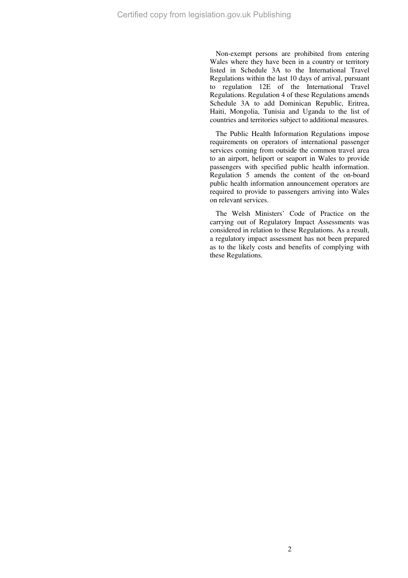Non-exempt persons are prohibited from entering Wales where they have been in a country or territory listed in Schedule 3A to the International Travel Regulations within the last 10 days of arrival, pursuant to regulation 12E of the International Travel Regulations. Regulation 4 of these Regulations amends Schedule 3A to add Dominican Republic, Eritrea, Haiti, Mongolia, Tunisia and Uganda to the list of countries and territories subject to additional measures.

The Public Health Information Regulations impose requirements on operators of international passenger services coming from outside the common travel area to an airport, heliport or seaport in Wales to provide passengers with specified public health information. Regulation 5 amends the content of the on-board public health information announcement operators are required to provide to passengers arriving into Wales on relevant services.

The Welsh Ministers' Code of Practice on the carrying out of Regulatory Impact Assessments was considered in relation to these Regulations. As a result, a regulatory impact assessment has not been prepared as to the likely costs and benefits of complying with these Regulations.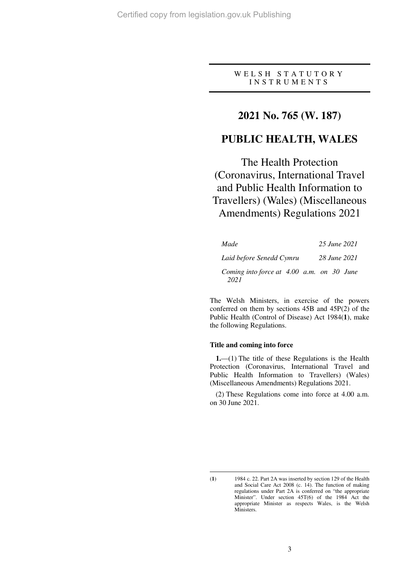### W E L S H S T A T U T O R Y I N S T R U M E N T S

# **2021 No. 765 (W. 187)**

## **PUBLIC HEALTH, WALES**

The Health Protection (Coronavirus, International Travel and Public Health Information to Travellers) (Wales) (Miscellaneous Amendments) Regulations 2021

| Made                                              |  |  | 25 June 2021 |
|---------------------------------------------------|--|--|--------------|
| Laid before Senedd Cymru                          |  |  | 28 June 2021 |
| Coming into force at 4.00 a.m. on 30 June<br>2021 |  |  |              |

The Welsh Ministers, in exercise of the powers conferred on them by sections 45B and 45P(2) of the Public Health (Control of Disease) Act 1984(**1**), make the following Regulations.

### **Title and coming into force**

**1.**—(1) The title of these Regulations is the Health Protection (Coronavirus, International Travel and Public Health Information to Travellers) (Wales) (Miscellaneous Amendments) Regulations 2021.

(2) These Regulations come into force at 4.00 a.m. on 30 June 2021.

 $\overline{a}$ (**1**) 1984 c. 22. Part 2A was inserted by section 129 of the Health and Social Care Act 2008 (c. 14). The function of making regulations under Part 2A is conferred on "the appropriate Minister". Under section 45T(6) of the 1984 Act the appropriate Minister as respects Wales, is the Welsh Ministers.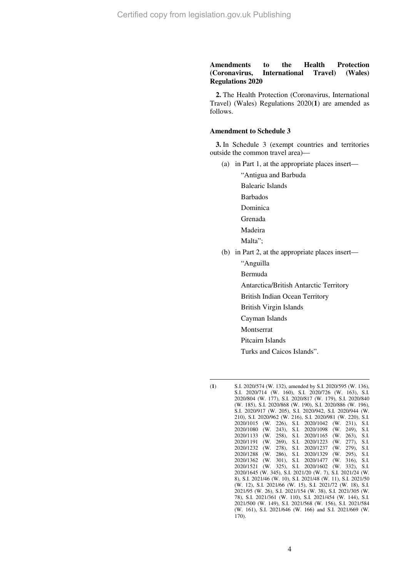### **Amendments to the Health Protection (Coronavirus, International Travel) (Wales) Regulations 2020**

**2.** The Health Protection (Coronavirus, International Travel) (Wales) Regulations 2020(**1**) are amended as follows.

#### **Amendment to Schedule 3**

**3.** In Schedule 3 (exempt countries and territories outside the common travel area)—

- (a) in Part 1, at the appropriate places insert—
	- "Antigua and Barbuda

Balearic Islands

Barbados

- Dominica
- Grenada
- Madeira
- Malta";
- (b) in Part 2, at the appropriate places insert—
	- "Anguilla
	- Bermuda
	- Antarctica/British Antarctic Territory
	- British Indian Ocean Territory
	- British Virgin Islands
	- Cayman Islands
	- Montserrat
	- Pitcairn Islands
	- Turks and Caicos Islands".

 $\overline{a}$ 

<sup>(</sup>**1**) S.I. 2020/574 (W. 132), amended by S.I. 2020/595 (W. 136), S.I. 2020/714 (W. 160), S.I. 2020/726 (W. 163), S.I. 2020/804 (W. 177), S.I. 2020/817 (W. 179), S.I. 2020/840 (W. 185), S.I. 2020/868 (W. 190), S.I. 2020/886 (W. 196), S.I. 2020/917 (W. 205), S.I. 2020/942, S.I. 2020/944 (W. 210), S.I. 2020/962 (W. 216), S.I. 2020/981 (W. 220), S.I. 2020/1015 (W. 226), S.I.<br>2020/1080 (W. 243), S.I. 2020/1080 (W. 243), S.I. 2020/1098 (W. 249), S.I. 2020/1133 (W. 258), S.I. 2020/1165 (W. 263), S.I. 269), S.I. 2020/1223 (W. 277), 278), S.I. 2020/1237 (W. 279), 2020/1232 (W. 278), S.I. 2020/1237 (W. 279), S.I. 2020/1288 (W. 286), S.I. 2020/1329 (W. 295), S.I. 2020/1362 (W. 301), S.I. 2020/1477 (W. 316), S.I. 2020/1521 (W. 325), S.I. 2020/1602 (W. 332), S.I. 2020/1645 (W. 345), S.I. 2021/20 (W. 7), S.I. 2021/24 (W. 8), S.I. 2021/46 (W. 10), S.I. 2021/48 (W. 11), S.I. 2021/50 (W. 12), S.I. 2021/66 (W. 15), S.I. 2021/72 (W. 18), S.I. 2021/95 (W. 26), S.I. 2021/154 (W. 38), S.I. 2021/305 (W. 78), S.I. 2021/361 (W. 110), S.I. 2021/454 (W. 144), S.I. 2021/500 (W. 149), S.I. 2021/568 (W. 156), S.I. 2021/584 (W. 161), S.I. 2021/646 (W. 166) and S.I. 2021/669 (W. 170).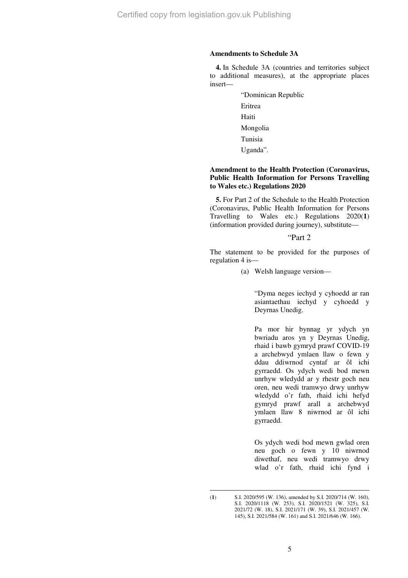### **Amendments to Schedule 3A**

**4.** In Schedule 3A (countries and territories subject to additional measures), at the appropriate places insert—

> "Dominican Republic Eritrea Haiti Mongolia Tunisia Uganda".

### **Amendment to the Health Protection (Coronavirus, Public Health Information for Persons Travelling to Wales etc.) Regulations 2020**

**5.** For Part 2 of the Schedule to the Health Protection (Coronavirus, Public Health Information for Persons Travelling to Wales etc.) Regulations 2020(**1**) (information provided during journey), substitute—

## "Part 2

The statement to be provided for the purposes of regulation 4 is—

(a) Welsh language version—

 "Dyma neges iechyd y cyhoedd ar ran asiantaethau iechyd y cyhoedd y Deyrnas Unedig.

 Pa mor hir bynnag yr ydych yn bwriadu aros yn y Deyrnas Unedig, rhaid i bawb gymryd prawf COVID-19 a archebwyd ymlaen llaw o fewn y ddau ddiwrnod cyntaf ar ôl ichi gyrraedd. Os ydych wedi bod mewn unrhyw wledydd ar y rhestr goch neu oren, neu wedi tramwyo drwy unrhyw wledydd o'r fath, rhaid ichi hefyd gymryd prawf arall a archebwyd ymlaen llaw 8 niwrnod ar ôl ichi gyrraedd.

 Os ydych wedi bod mewn gwlad oren neu goch o fewn y 10 niwrnod diwethaf, neu wedi tramwyo drwy wlad o'r fath, rhaid ichi fynd i

 $\overline{a}$ 

<sup>(</sup>**1**) S.I. 2020/595 (W. 136), amended by S.I. 2020/714 (W. 160), S.I. 2020/1118 (W. 253), S.I. 2020/1521 (W. 325), S.I. 2021/72 (W. 18), S.I. 2021/171 (W. 39), S.I. 2021/457 (W. 145), S.I. 2021/584 (W. 161) and S.I. 2021/646 (W. 166).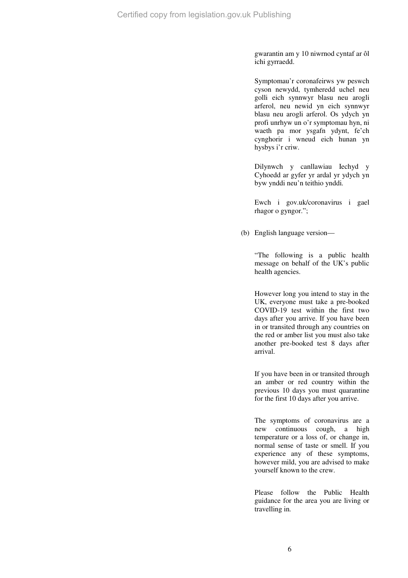gwarantin am y 10 niwrnod cyntaf ar ôl ichi gyrraedd.

 Symptomau'r coronafeirws yw peswch cyson newydd, tymheredd uchel neu golli eich synnwyr blasu neu arogli arferol, neu newid yn eich synnwyr blasu neu arogli arferol. Os ydych yn profi unrhyw un o'r symptomau hyn, ni waeth pa mor ysgafn ydynt, fe'ch cynghorir i wneud eich hunan yn hysbys i'r criw.

 Dilynwch y canllawiau Iechyd y Cyhoedd ar gyfer yr ardal yr ydych yn byw ynddi neu'n teithio ynddi*.* 

 Ewch i gov.uk/coronavirus i gael rhagor o gyngor.";

(b) English language version—

 "The following is a public health message on behalf of the UK's public health agencies.

 However long you intend to stay in the UK, everyone must take a pre-booked COVID-19 test within the first two days after you arrive. If you have been in or transited through any countries on the red or amber list you must also take another pre-booked test 8 days after arrival.

 If you have been in or transited through an amber or red country within the previous 10 days you must quarantine for the first 10 days after you arrive.

 The symptoms of coronavirus are a new continuous cough, a high temperature or a loss of, or change in, normal sense of taste or smell. If you experience any of these symptoms, however mild, you are advised to make yourself known to the crew.

 Please follow the Public Health guidance for the area you are living or travelling in*.*